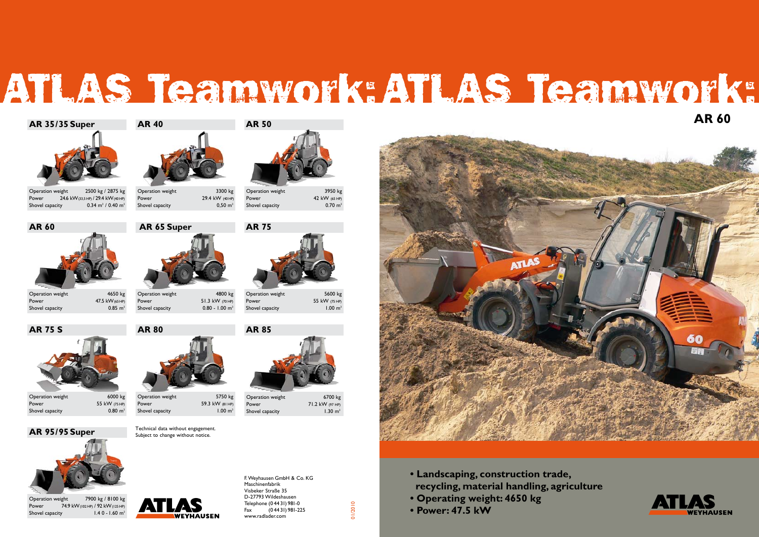





Operation weight 3300 kg Power 29.4 kW (40 HP)<br>Shovel capacity 0,50 m<sup>3</sup> Shovel capacity



Shovel capacity

Operation weight 5750 kg Power 59.3 kW (81 HP) Shovel capacity 1.00 m<sup>3</sup>



**AR 75 S AR 80 AR 85**

# ATLAS Teamwork: ATLAS Teamwork:



Operation weight 2500 kg / 2875 kg Power 24.6 kW(33,5 HP) / 29.4 kW(40 HP) Shovel capacity  $0.34 \text{ m}^3 / 0.40 \text{ m}^3$ 



Operation weight 4650 kg Power 47.5 kW(65 HP) Shovel capacity 6.85 m<sup>3</sup>



Operation weight 6000 kg Power 55 kW (75 HP) Shovel capacity 6.80 m<sup>3</sup>

Operation weight 4800 kg Power 51.3 kW (70 HP) Shovel capacity 0.80 - 1.00 m<sup>3</sup>



Shovel capacity 1.00 m<sup>3</sup>



Shovel capacity 1.30 m<sup>3</sup>

Operation weight 6700 kg Power 71.2 kW (97 HP)



Technical data without engagement. Subject to change without notice.



Operation weight 7900 kg / 8100 kg Power 74.9 kW(102 HP) / 92 kW(125 HP) Shovel capacity 1.4 0 - 1.60 m<sup>3</sup>



Operation weight 3950 kg Power 42 kW (65 HP)<br>Shovel capacity 0.70 m<sup>3</sup>



01/2010

**AR 95/95 Super**



- **Landscaping, construction trade, recycling, material handling, agriculture**
- **Operating weight: 4650 kg**
- **Power: 47.5 kW**

**AR 60**